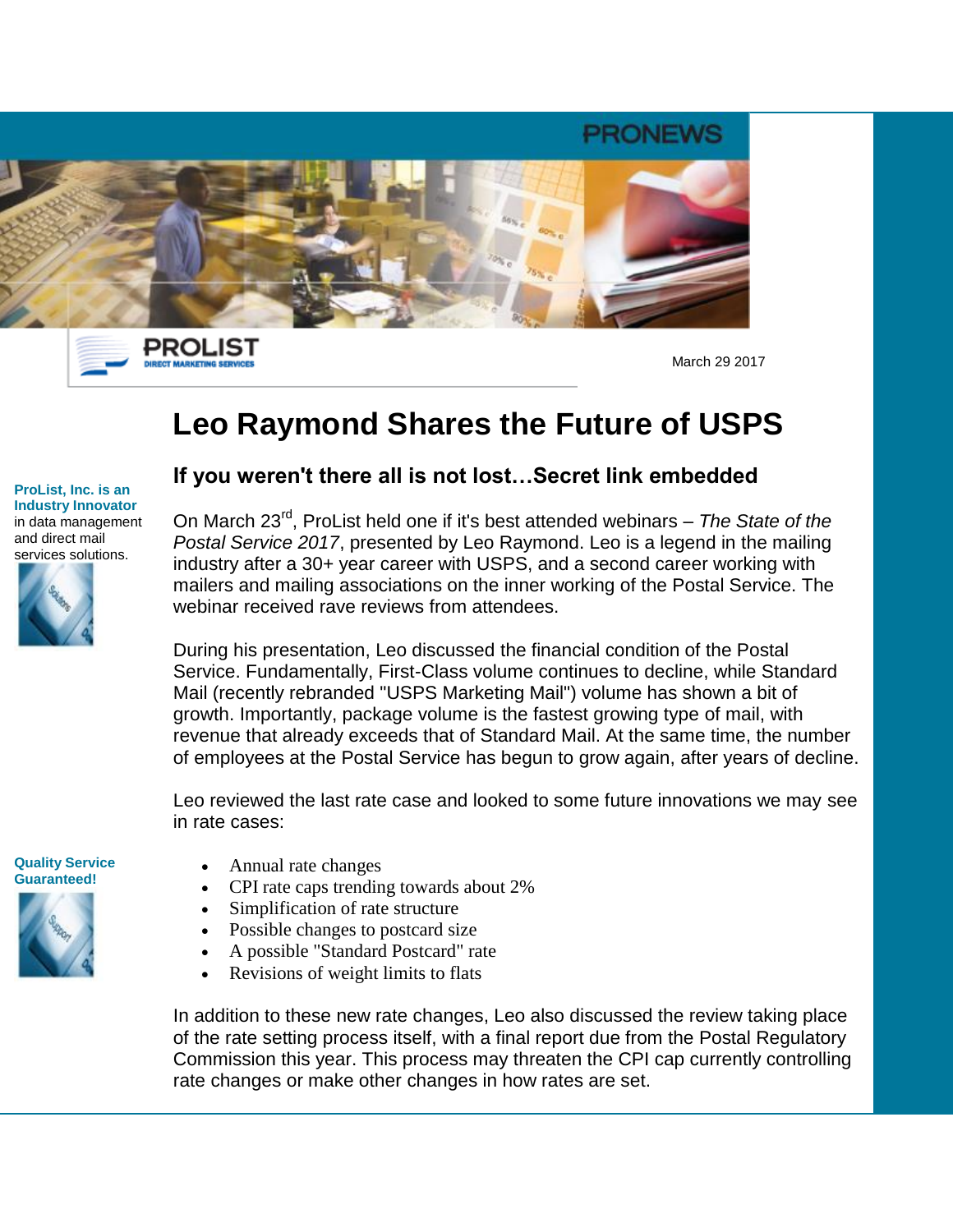

PROLIST **DIRECT MARKETING SERVICE** 

March 29 2017

## **Leo Raymond Shares the Future of USPS**

**ProList, Inc. is an Industry Innovator** in data management and direct mail services solutions.



## **If you weren't there all is not lost…Secret link embedded**

On March 23rd, ProList held one if it's best attended webinars – *The State of the Postal Service 2017*, presented by Leo Raymond. Leo is a legend in the mailing industry after a 30+ year career with USPS, and a second career working with mailers and mailing associations on the inner working of the Postal Service. The webinar received rave reviews from attendees.

During his presentation, Leo discussed the financial condition of the Postal Service. Fundamentally, First-Class volume continues to decline, while Standard Mail (recently rebranded "USPS Marketing Mail") volume has shown a bit of growth. Importantly, package volume is the fastest growing type of mail, with revenue that already exceeds that of Standard Mail. At the same time, the number of employees at the Postal Service has begun to grow again, after years of decline.

Leo reviewed the last rate case and looked to some future innovations we may see in rate cases:

**Quality Service Guaranteed!** 

- Annual rate changes
- CPI rate caps trending towards about 2%
- Simplification of rate structure
- Possible changes to postcard size
- A possible "Standard Postcard" rate
- Revisions of weight limits to flats

In addition to these new rate changes, Leo also discussed the review taking place of the rate setting process itself, with a final report due from the Postal Regulatory Commission this year. This process may threaten the CPI cap currently controlling rate changes or make other changes in how rates are set.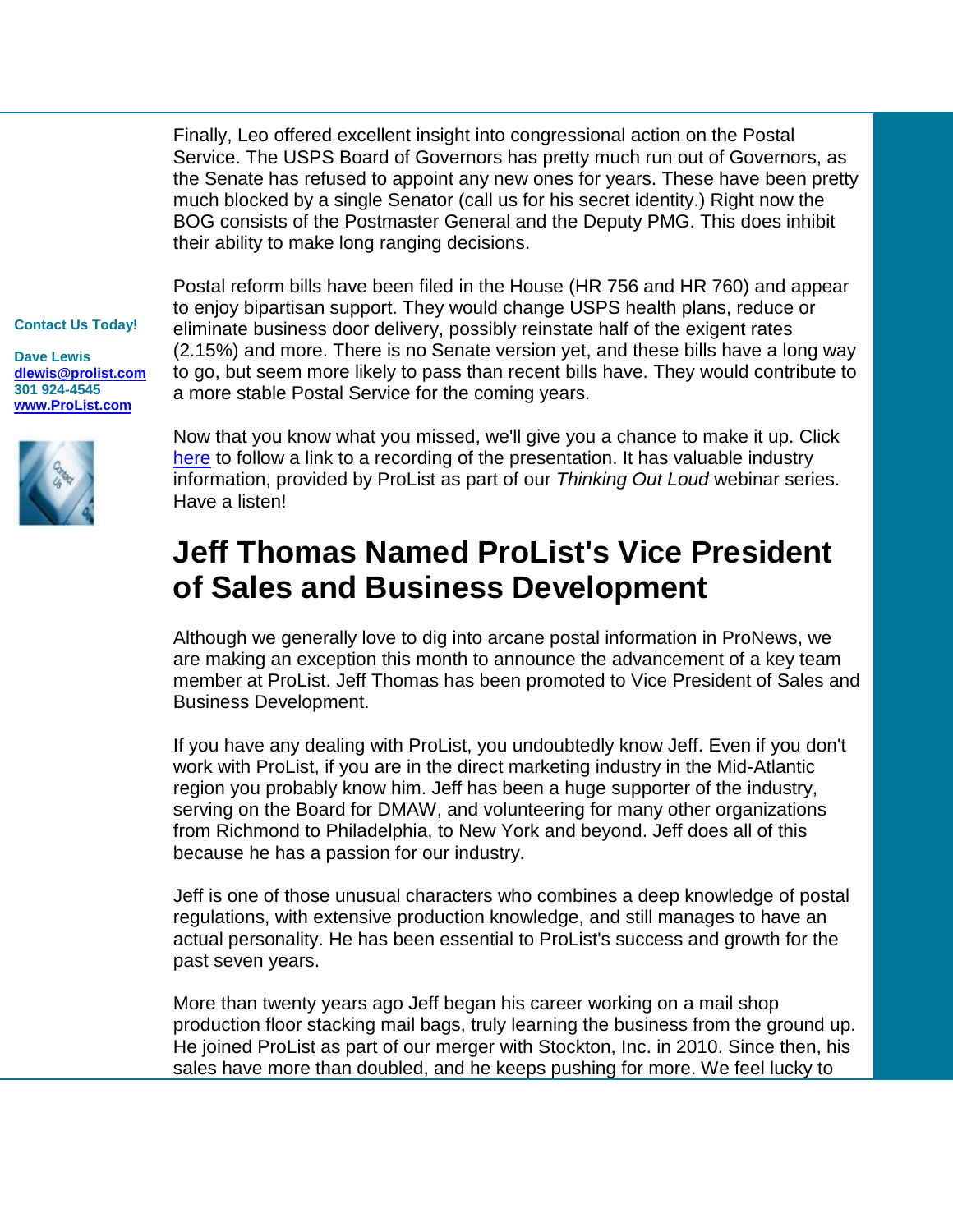Finally, Leo offered excellent insight into congressional action on the Postal Service. The USPS Board of Governors has pretty much run out of Governors, as the Senate has refused to appoint any new ones for years. These have been pretty much blocked by a single Senator (call us for his secret identity.) Right now the BOG consists of the Postmaster General and the Deputy PMG. This does inhibit their ability to make long ranging decisions.

**Contact Us Today!** 

**Dave Lewis [dlewis@prolist.com](mailto:dlewis@prolist.com) 301 924-4545 [www.ProList.com](http://www.prolist.com/)**



Postal reform bills have been filed in the House (HR 756 and HR 760) and appear to enjoy bipartisan support. They would change USPS health plans, reduce or eliminate business door delivery, possibly reinstate half of the exigent rates (2.15%) and more. There is no Senate version yet, and these bills have a long way to go, but seem more likely to pass than recent bills have. They would contribute to a more stable Postal Service for the coming years.

Now that you know what you missed, we'll give you a chance to make it up. Click [here](https://attendee.gotowebinar.com/recording/3434165521687341315) to follow a link to a recording of the presentation. It has valuable industry information, provided by ProList as part of our *Thinking Out Loud* webinar series. Have a listen!

## **Jeff Thomas Named ProList's Vice President of Sales and Business Development**

Although we generally love to dig into arcane postal information in ProNews, we are making an exception this month to announce the advancement of a key team member at ProList. Jeff Thomas has been promoted to Vice President of Sales and Business Development.

If you have any dealing with ProList, you undoubtedly know Jeff. Even if you don't work with ProList, if you are in the direct marketing industry in the Mid-Atlantic region you probably know him. Jeff has been a huge supporter of the industry, serving on the Board for DMAW, and volunteering for many other organizations from Richmond to Philadelphia, to New York and beyond. Jeff does all of this because he has a passion for our industry.

Jeff is one of those unusual characters who combines a deep knowledge of postal regulations, with extensive production knowledge, and still manages to have an actual personality. He has been essential to ProList's success and growth for the past seven years.

More than twenty years ago Jeff began his career working on a mail shop production floor stacking mail bags, truly learning the business from the ground up. He joined ProList as part of our merger with Stockton, Inc. in 2010. Since then, his sales have more than doubled, and he keeps pushing for more. We feel lucky to